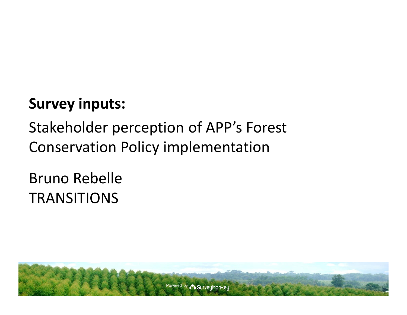### **Survey inputs:**

### Stakeholder perception of APP's Forest Conservation Policy implementation

### Bruno Rebelle **TRANSITIONS**

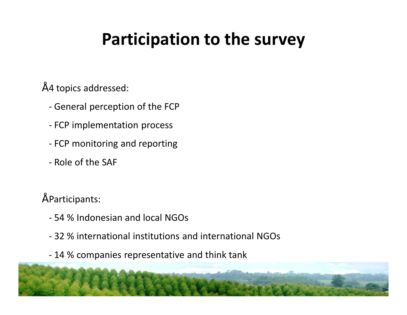### **Participation to the survey**

- 4 topics addressed:
	- General perception of the FCP
	- FCP implementation process
	- FCP monitoring and reporting
	- Role of the SAF
- Participants:
	- 54 % Indonesian and local NGOs
	- 32 % international institutions and international NGOs
	- 14 % companies representative and think tank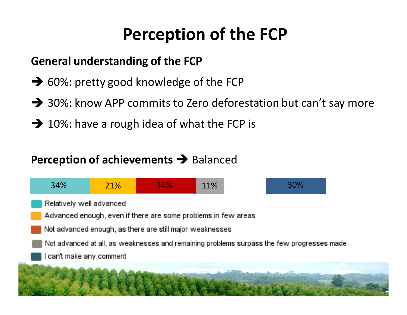# **Perception of the FCP**

#### **General understanding of the FCP**

- $\rightarrow$  60%: pretty good knowledge of the FCP
- $\rightarrow$  30%: know APP commits to Zero deforestation but can't say more
- $\rightarrow$  10%: have a rough idea of what the FCP is

### **Perception of achievements**  $\rightarrow$  **Balanced**

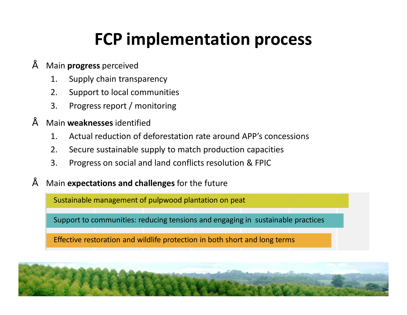### **FCP implementation process**

#### • Main **progress** perceived

- 1. Supply chain transparency
- 2. Support to local communities
- 3. Progress report / monitoring

#### • Main **weaknesses** identified

- 1. Actual reduction of deforestation rate around APP's concessions
- 2. Secure sustainable supply to match production capacities
- 3. Progress on social and land conflicts resolution & FPIC
- Main **expectations and challenges** for the future

Sustainable management of pulpwood plantation on peat

Support to communities: reducing tensions and engaging in sustainable practices

Effective restoration and wildlife protection in both short and long terms

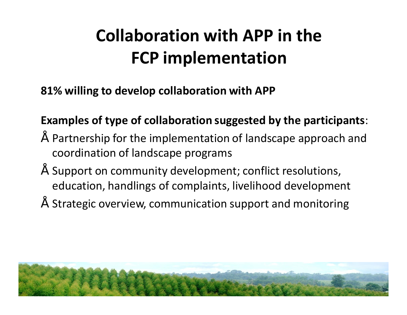# **Collaboration with APP in the FCP implementation**

**81% willing to develop collaboration with APP**

#### **Examples of type of collaboration suggested by the participants**:

- Partnership for the implementation of landscape approach and coordination of landscape programs
- Support on community development; conflict resolutions, education, handlings of complaints, livelihood development
- $\tilde{a}$  Strategic overview, communication support and monitoring

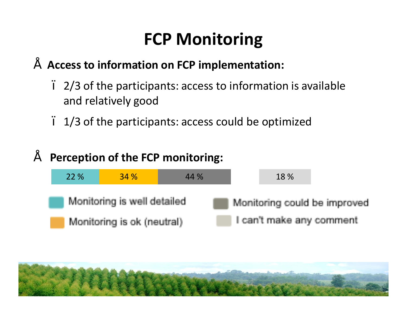# **FCP Monitoring**

### • **Access to information on FCP implementation:**

- 2/3 of the participants: access to information is available and relatively good
- 1/3 of the participants: access could be optimized

#### • **Perception of the FCP monitoring:**



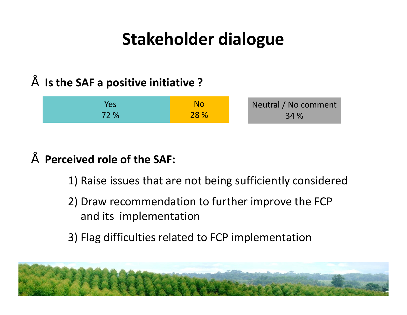## **Stakeholder dialogue**

#### • **Is the SAF a positive initiative ?**

| Yes  | No   | Neutral / No comment |
|------|------|----------------------|
| 72 % | 28 % | 34 %                 |

#### • **Perceived role of the SAF:**

- 1) Raise issues that are not being sufficiently considered
- 2) Draw recommendation to further improve the FCP and its implementation
- 3) Flag difficulties related to FCP implementation

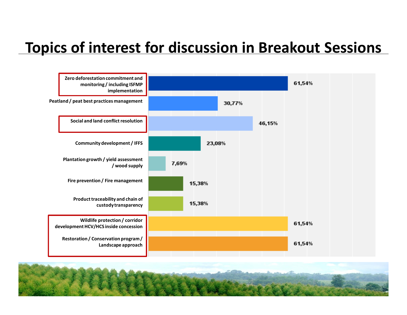### **Topics of interest for discussion in Breakout Sessions**